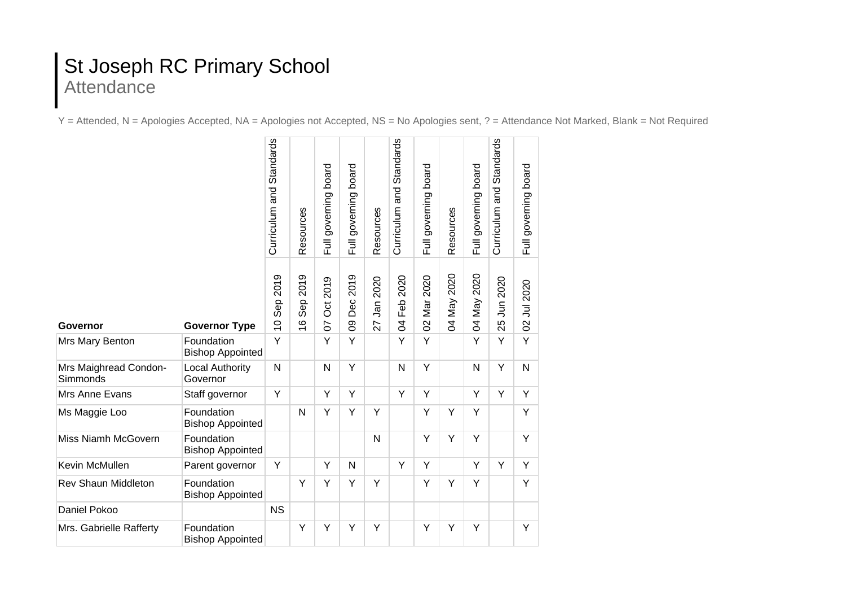## St Joseph RC Primary School Attendance

Y = Attended, N = Apologies Accepted, NA = Apologies not Accepted, NS = No Apologies sent, ? = Attendance Not Marked, Blank = Not Required

|                                   |                                       | Curriculum and Standards      | Resources                           | Full governing board         | Full governing board | Resources         | Curriculum and Standards      | board<br>governing<br>$\overline{5}$ | Resources      | Full governing board | Curriculum and Standards | Full governing board |
|-----------------------------------|---------------------------------------|-------------------------------|-------------------------------------|------------------------------|----------------------|-------------------|-------------------------------|--------------------------------------|----------------|----------------------|--------------------------|----------------------|
| <b>Governor</b>                   | <b>Governor Type</b>                  | 2019<br>Sep<br>$\overline{0}$ | 2019<br><b>Sep</b><br>$\frac{6}{1}$ | 2019<br>$\overline{5}$<br>50 | 2019<br>Dec<br>80    | 2020<br>Jan<br>27 | 2020<br>Feb<br>$\overline{5}$ | 2020<br>Mar<br>$\mathcal{S}$         | 2020<br>VeM AO | 04 May 2020          | 25 Jun 2020              | 02 Jul 2020          |
| Mrs Mary Benton                   | Foundation<br><b>Bishop Appointed</b> | Y                             |                                     | Y                            | Y                    |                   | Y                             | Y                                    |                | Y                    | Υ                        | Υ                    |
| Mrs Maighread Condon-<br>Simmonds | <b>Local Authority</b><br>Governor    | N                             |                                     | N                            | Y                    |                   | N                             | Y                                    |                | N                    | Y                        | N                    |
| Mrs Anne Evans                    | Staff governor                        | Y                             |                                     | Y                            | Y                    |                   | Y                             | Y                                    |                | Y                    | Y                        | Y                    |
| Ms Maggie Loo                     | Foundation<br><b>Bishop Appointed</b> |                               | N                                   | Y                            | Y                    | Y                 |                               | Y                                    | Y              | Y                    |                          | Y                    |
| Miss Niamh McGovern               | Foundation<br><b>Bishop Appointed</b> |                               |                                     |                              |                      | N                 |                               | Y                                    | Y              | Y                    |                          | Y                    |
| Kevin McMullen                    | Parent governor                       | Y                             |                                     | Y                            | $\mathsf{N}$         |                   | Y                             | Y                                    |                | Y                    | Y                        | Y                    |
| <b>Rev Shaun Middleton</b>        | Foundation<br><b>Bishop Appointed</b> |                               | Y                                   | Y                            | Y                    | Y                 |                               | Y                                    | Y              | Y                    |                          | Y                    |
| Daniel Pokoo                      |                                       | <b>NS</b>                     |                                     |                              |                      |                   |                               |                                      |                |                      |                          |                      |
| Mrs. Gabrielle Rafferty           | Foundation<br><b>Bishop Appointed</b> |                               | Y                                   | Y                            | Y                    | Y                 |                               | Y                                    | Y              | Y                    |                          | Y                    |